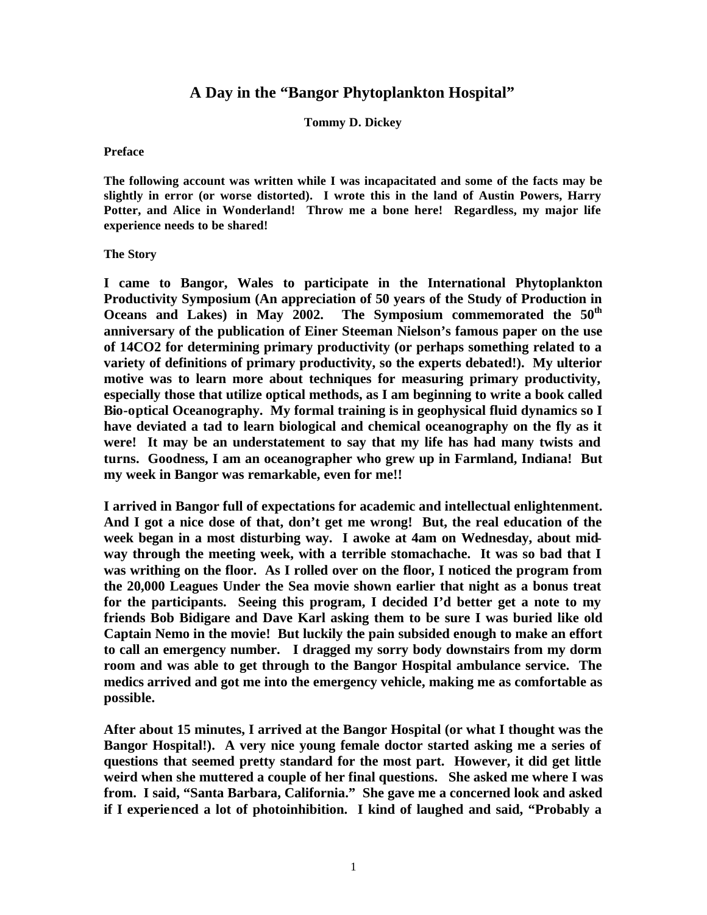## **A Day in the "Bangor Phytoplankton Hospital"**

## **Tommy D. Dickey**

## **Preface**

**The following account was written while I was incapacitated and some of the facts may be slightly in error (or worse distorted). I wrote this in the land of Austin Powers, Harry Potter, and Alice in Wonderland! Throw me a bone here! Regardless, my major life experience needs to be shared!** 

## **The Story**

**I came to Bangor, Wales to participate in the International Phytoplankton Productivity Symposium (An appreciation of 50 years of the Study of Production in Oceans and Lakes) in May 2002. The Symposium commemorated the 50th anniversary of the publication of Einer Steeman Nielson's famous paper on the use of 14CO2 for determining primary productivity (or perhaps something related to a variety of definitions of primary productivity, so the experts debated!). My ulterior motive was to learn more about techniques for measuring primary productivity, especially those that utilize optical methods, as I am beginning to write a book called Bio-optical Oceanography. My formal training is in geophysical fluid dynamics so I have deviated a tad to learn biological and chemical oceanography on the fly as it were! It may be an understatement to say that my life has had many twists and turns. Goodness, I am an oceanographer who grew up in Farmland, Indiana! But my week in Bangor was remarkable, even for me!!**

**I arrived in Bangor full of expectations for academic and intellectual enlightenment. And I got a nice dose of that, don't get me wrong! But, the real education of the week began in a most disturbing way. I awoke at 4am on Wednesday, about midway through the meeting week, with a terrible stomachache. It was so bad that I was writhing on the floor. As I rolled over on the floor, I noticed the program from the 20,000 Leagues Under the Sea movie shown earlier that night as a bonus treat for the participants. Seeing this program, I decided I'd better get a note to my friends Bob Bidigare and Dave Karl asking them to be sure I was buried like old Captain Nemo in the movie! But luckily the pain subsided enough to make an effort to call an emergency number. I dragged my sorry body downstairs from my dorm room and was able to get through to the Bangor Hospital ambulance service. The medics arrived and got me into the emergency vehicle, making me as comfortable as possible.**

**After about 15 minutes, I arrived at the Bangor Hospital (or what I thought was the Bangor Hospital!). A very nice young female doctor started asking me a series of questions that seemed pretty standard for the most part. However, it did get little weird when she muttered a couple of her final questions. She asked me where I was from. I said, "Santa Barbara, California." She gave me a concerned look and asked if I experienced a lot of photoinhibition. I kind of laughed and said, "Probably a**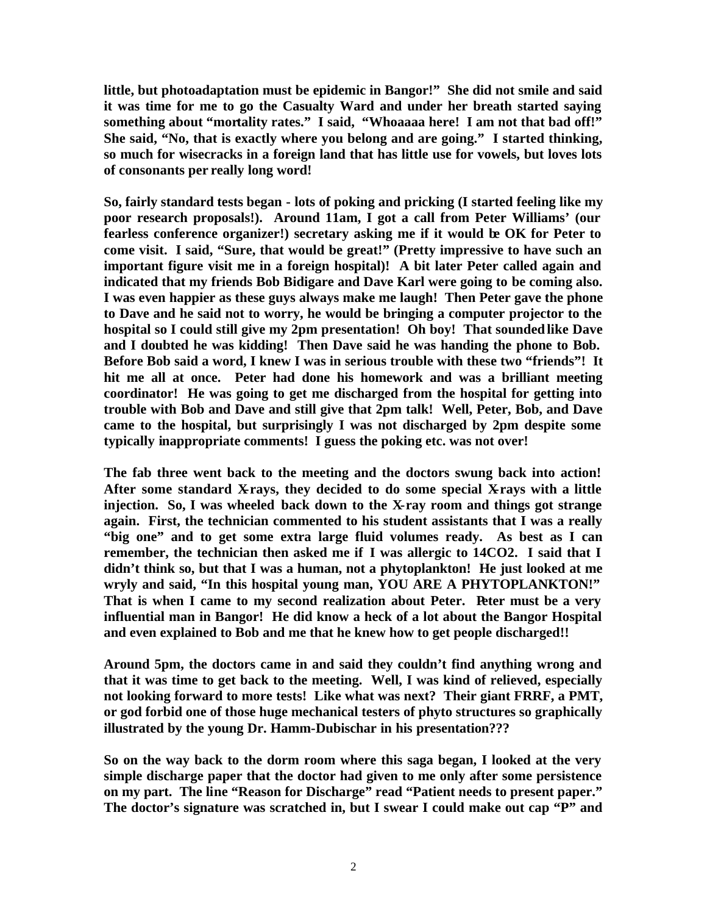**little, but photoadaptation must be epidemic in Bangor!" She did not smile and said it was time for me to go the Casualty Ward and under her breath started saying something about "mortality rates." I said, "Whoaaaa here! I am not that bad off!" She said, "No, that is exactly where you belong and are going." I started thinking, so much for wisecracks in a foreign land that has little use for vowels, but loves lots of consonants per really long word!** 

**So, fairly standard tests began - lots of poking and pricking (I started feeling like my poor research proposals!). Around 11am, I got a call from Peter Williams' (our fearless conference organizer!) secretary asking me if it would be OK for Peter to come visit. I said, "Sure, that would be great!" (Pretty impressive to have such an important figure visit me in a foreign hospital)! A bit later Peter called again and indicated that my friends Bob Bidigare and Dave Karl were going to be coming also. I was even happier as these guys always make me laugh! Then Peter gave the phone to Dave and he said not to worry, he would be bringing a computer projector to the hospital so I could still give my 2pm presentation! Oh boy! That sounded like Dave and I doubted he was kidding! Then Dave said he was handing the phone to Bob. Before Bob said a word, I knew I was in serious trouble with these two "friends"! It hit me all at once. Peter had done his homework and was a brilliant meeting coordinator! He was going to get me discharged from the hospital for getting into trouble with Bob and Dave and still give that 2pm talk! Well, Peter, Bob, and Dave came to the hospital, but surprisingly I was not discharged by 2pm despite some typically inappropriate comments! I guess the poking etc. was not over!** 

**The fab three went back to the meeting and the doctors swung back into action!**  After some standard X-rays, they decided to do some special X-rays with a little **injection. So, I was wheeled back down to the X-ray room and things got strange again. First, the technician commented to his student assistants that I was a really "big one" and to get some extra large fluid volumes ready. As best as I can remember, the technician then asked me if I was allergic to 14CO2. I said that I didn't think so, but that I was a human, not a phytoplankton! He just looked at me wryly and said, "In this hospital young man, YOU ARE A PHYTOPLANKTON!" That is when I came to my second realization about Peter. Peter must be a very influential man in Bangor! He did know a heck of a lot about the Bangor Hospital and even explained to Bob and me that he knew how to get people discharged!!** 

**Around 5pm, the doctors came in and said they couldn't find anything wrong and that it was time to get back to the meeting. Well, I was kind of relieved, especially not looking forward to more tests! Like what was next? Their giant FRRF, a PMT, or god forbid one of those huge mechanical testers of phyto structures so graphically illustrated by the young Dr. Hamm-Dubischar in his presentation???** 

**So on the way back to the dorm room where this saga began, I looked at the very simple discharge paper that the doctor had given to me only after some persistence on my part. The line "Reason for Discharge" read "Patient needs to present paper." The doctor's signature was scratched in, but I swear I could make out cap "P" and**